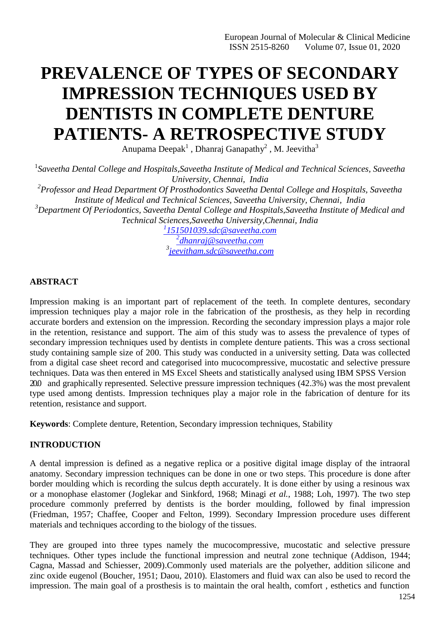# **PREVALENCE OF TYPES OF SECONDARY IMPRESSION TECHNIQUES USED BY DENTISTS IN COMPLETE DENTURE PATIENTS- A RETROSPECTIVE STUDY**

Anupama Deepak<sup>1</sup>, Dhanraj Ganapathy<sup>2</sup>, M. Jeevitha<sup>3</sup>

<sup>1</sup> Saveetha Dental College and Hospitals, Saveetha Institute of Medical and Technical Sciences, Saveetha *University, Chennai, India*

*2 Professor and Head Department Of Prosthodontics Saveetha Dental College and Hospitals, Saveetha Institute of Medical and Technical Sciences, Saveetha University, Chennai, India*

*<sup>3</sup>Department Of Periodontics, Saveetha Dental College and Hospitals,Saveetha Institute of Medical and Technical Sciences,Saveetha University,Chennai, India*

> *1 [151501039.sdc@saveetha.com](mailto:1151501039.sdc@saveetha.com) 2 [dhanraj@saveetha.com](mailto:2dhanraj@saveetha.com) 3 [jeevitham.sdc@saveetha.com](mailto:jeevitham.sdc@saveetha.com)*

# **ABSTRACT**

Impression making is an important part of replacement of the teeth. In complete dentures, secondary impression techniques play a major role in the fabrication of the prosthesis, as they help in recording accurate borders and extension on the impression. Recording the secondary impression plays a major role in the retention, resistance and support. The aim of this study was to assess the prevalence of types of secondary impression techniques used by dentists in complete denture patients. This was a cross sectional study containing sample size of 200. This study was conducted in a university setting. Data was collected from a digital case sheet record and categorised into mucocompressive, mucostatic and selective pressure techniques. Data was then entered in MS Excel Sheets and statistically analysed using IBM SPSS Version 20.0 and graphically represented. Selective pressure impression techniques (42.3%) was the most prevalent type used among dentists. Impression techniques play a major role in the fabrication of denture for its retention, resistance and support.

**Keywords**: Complete denture, Retention, Secondary impression techniques, Stability

# **INTRODUCTION**

A dental impression is defined as a negative replica or a positive digital image display of the intraoral anatomy. Secondary impression techniques can be done in one or two steps. This procedure is done after border moulding which is recording the sulcus depth accurately. It is done either by using a resinous wax or a monophase elastomer [\(Joglekar and Sinkford, 1968; Minagi](https://paperpile.com/c/cZToIt/4m6N%2B3faZ%2BWTj9) *et al.*, 1988; Loh, 1997). The two step procedure commonly preferred by dentists is the border moulding, followed by final impression [\(Friedman, 1957; Chaffee, Cooper and Felton, 1999\).](https://paperpile.com/c/cZToIt/NsqS%2BMQ1w) Secondary Impression procedure uses different materials and techniques according to the biology of the tissues.

They are grouped into three types namely the mucocompressive, mucostatic and selective pressure techniques. Other types include the functional impression and neutral zone technique [\(Addison, 1944;](https://paperpile.com/c/cZToIt/sWVf%2BIh5K) [Cagna, Massad and Schiesser, 2009\).](https://paperpile.com/c/cZToIt/sWVf%2BIh5K)Commonly used materials are the polyether, addition silicone and zinc oxide eugenol [\(Boucher, 1951; Daou, 2010\). E](https://paperpile.com/c/cZToIt/GWd3%2B7sXq)lastomers and fluid wax can also be used to record the impression. The main goal of a prosthesis is to maintain the oral health, comfort , esthetics and function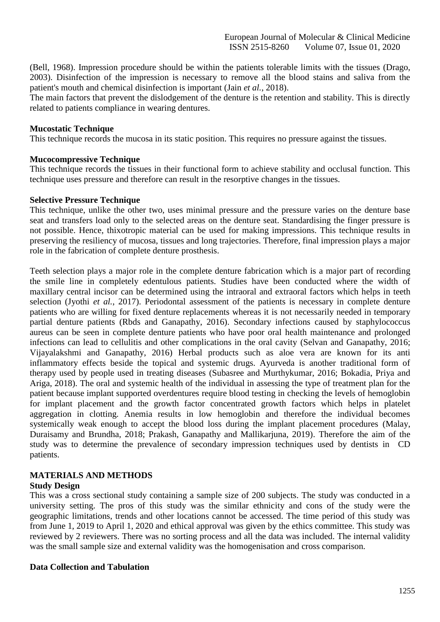[\(Bell, 1968\). I](https://paperpile.com/c/cZToIt/Jyf6)mpression procedure should be within the patients tolerable limits with the tissues [\(Drago,](https://paperpile.com/c/cZToIt/PA9O) [2003\).](https://paperpile.com/c/cZToIt/PA9O) Disinfection of the impression is necessary to remove all the blood stains and saliva from the patient's mouth and chemical disinfection is important (Jain *et al.*[, 2018\).](https://paperpile.com/c/cZToIt/jsEU)

The main factors that prevent the dislodgement of the denture is the retention and stability. This is directly related to patients compliance in wearing dentures.

## **Mucostatic Technique**

This technique records the mucosa in its static position. This requires no pressure against the tissues.

#### **Mucocompressive Technique**

This technique records the tissues in their functional form to achieve stability and occlusal function. This technique uses pressure and therefore can result in the resorptive changes in the tissues.

#### **Selective Pressure Technique**

This technique, unlike the other two, uses minimal pressure and the pressure varies on the denture base seat and transfers load only to the selected areas on the denture seat. Standardising the finger pressure is not possible. Hence, thixotropic material can be used for making impressions. This technique results in preserving the resiliency of mucosa, tissues and long trajectories. Therefore, final impression plays a major role in the fabrication of complete denture prosthesis.

Teeth selection plays a major role in the complete denture fabrication which is a major part of recording the smile line in completely edentulous patients. Studies have been conducted where the width of maxillary central incisor can be determined using the intraoral and extraoral factors which helps in teeth selection (Jyothi *et al.*[, 2017\).](https://paperpile.com/c/cZToIt/jmTW) Periodontal assessment of the patients is necessary in complete denture patients who are willing for fixed denture replacements whereas it is not necessarily needed in temporary partial denture patients [\(Rbds and Ganapathy, 2016\).](https://paperpile.com/c/cZToIt/SX1s) Secondary infections caused by staphylococcus aureus can be seen in complete denture patients who have poor oral health maintenance and prolonged infections can lead to cellulitis and other complications in the oral cavity [\(Selvan and Ganapathy, 2016;](https://paperpile.com/c/cZToIt/nDqQ%2BbFjb) [Vijayalakshmi and Ganapathy, 2016\)](https://paperpile.com/c/cZToIt/nDqQ%2BbFjb) Herbal products such as aloe vera are known for its anti inflammatory effects beside the topical and systemic drugs. Ayurveda is another traditional form of therapy used by people used in treating diseases [\(Subasree and Murthykumar, 2016; Bokadia, Priya and](https://paperpile.com/c/cZToIt/vVhT%2BJY37) [Ariga, 2018\). T](https://paperpile.com/c/cZToIt/vVhT%2BJY37)he oral and systemic health of the individual in assessing the type of treatment plan for the patient because implant supported overdentures require blood testing in checking the levels of hemoglobin for implant placement and the growth factor concentrated growth factors which helps in platelet aggregation in clotting. Anemia results in low hemoglobin and therefore the individual becomes systemically weak enough to accept the blood loss during the implant placement procedures [\(Malay,](https://paperpile.com/c/cZToIt/iC4o%2BYYYr) [Duraisamy and Brundha, 2018; Prakash, Ganapathy and Mallikarjuna, 2019\).](https://paperpile.com/c/cZToIt/iC4o%2BYYYr) Therefore the aim of the study was to determine the prevalence of secondary impression techniques used by dentists in CD patients.

# **MATERIALS AND METHODS**

## **Study Design**

This was a cross sectional study containing a sample size of 200 subjects. The study was conducted in a university setting. The pros of this study was the similar ethnicity and cons of the study were the geographic limitations, trends and other locations cannot be accessed. The time period of this study was from June 1, 2019 to April 1, 2020 and ethical approval was given by the ethics committee. This study was reviewed by 2 reviewers. There was no sorting process and all the data was included. The internal validity was the small sample size and external validity was the homogenisation and cross comparison.

#### **Data Collection and Tabulation**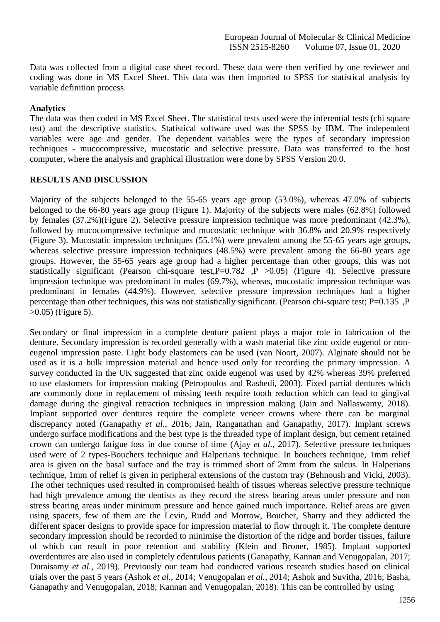Data was collected from a digital case sheet record. These data were then verified by one reviewer and coding was done in MS Excel Sheet. This data was then imported to SPSS for statistical analysis by variable definition process.

## **Analytics**

The data was then coded in MS Excel Sheet. The statistical tests used were the inferential tests (chi square test) and the descriptive statistics. Statistical software used was the SPSS by IBM. The independent variables were age and gender. The dependent variables were the types of secondary impression techniques - mucocompressive, mucostatic and selective pressure. Data was transferred to the host computer, where the analysis and graphical illustration were done by SPSS Version 20.0.

## **RESULTS AND DISCUSSION**

Majority of the subjects belonged to the 55-65 years age group (53.0%), whereas 47.0% of subjects belonged to the 66-80 years age group (Figure 1). Majority of the subjects were males (62.8%) followed by females (37.2%)(Figure 2). Selective pressure impression technique was more predominant (42.3%), followed by mucocompressive technique and mucostatic technique with 36.8% and 20.9% respectively (Figure 3). Mucostatic impression techniques (55.1%) were prevalent among the 55-65 years age groups, whereas selective pressure impression techniques (48.5%) were prevalent among the 66-80 years age groups. However, the 55-65 years age group had a higher percentage than other groups, this was not statistically significant (Pearson chi-square test,  $P=0.782$  ,  $P > 0.05$ ) (Figure 4). Selective pressure impression technique was predominant in males (69.7%), whereas, mucostatic impression technique was predominant in females (44.9%). However, selective pressure impression techniques had a higher percentage than other techniques, this was not statistically significant. (Pearson chi-square test; P=0.135 ,P >0.05) (Figure 5).

Secondary or final impression in a complete denture patient plays a major role in fabrication of the denture. Secondary impression is recorded generally with a wash material like zinc oxide eugenol or noneugenol impression paste. Light body elastomers can be used [\(van Noort, 2007\).](https://paperpile.com/c/cZToIt/Dxhs) Alginate should not be used as it is a bulk impression material and hence used only for recording the primary impression. A survey conducted in the UK suggested that zinc oxide eugenol was used by 42% whereas 39% preferred to use elastomers for impression making [\(Petropoulos and Rashedi, 2003\).](https://paperpile.com/c/cZToIt/ZBXz) Fixed partial dentures which are commonly done in replacement of missing teeth require tooth reduction which can lead to gingival damage during the gingival retraction techniques in impression making [\(Jain and Nallaswamy, 2018\).](https://paperpile.com/c/cZToIt/8V4a) Implant supported over dentures require the complete veneer crowns where there can be marginal discrepancy noted (Ganapathy *et al.*[, 2016; Jain, Ranganathan and Ganapathy, 2017\).](https://paperpile.com/c/cZToIt/L1TV%2B5e3t) Implant screws undergo surface modifications and the best type is the threaded type of implant design, but cement retained crown can undergo fatigue loss in due course of time (Ajay *et al.*[, 2017\).](https://paperpile.com/c/cZToIt/TCG4) Selective pressure techniques used were of 2 types-Bouchers technique and Halperians technique. In bouchers technique, 1mm relief area is given on the basal surface and the tray is trimmed short of 2mm from the sulcus. In Halperians technique, 1mm of relief is given in peripheral extensions of the custom tray [\(Behnoush and Vicki, 2003\).](https://paperpile.com/c/cZToIt/J7C0) The other techniques used resulted in compromised health of tissues whereas selective pressure technique had high prevalence among the dentists as they record the stress bearing areas under pressure and non stress bearing areas under minimum pressure and hence gained much importance. Relief areas are given using spacers, few of them are the Levin, Rudd and Morrow, Boucher, Sharry and they addicted the different spacer designs to provide space for impression material to flow through it. The complete denture secondary impression should be recorded to minimise the distortion of the ridge and border tissues, failure of which can result in poor retention and stability [\(Klein and Broner, 1985\).](https://paperpile.com/c/cZToIt/RXt7) Implant supported overdentures are also used in completely edentulous patients [\(Ganapathy, Kannan and Venugopalan, 2017;](https://paperpile.com/c/cZToIt/9bDY%2BJ4Ii) [Duraisamy](https://paperpile.com/c/cZToIt/9bDY%2BJ4Ii) *et al.*, 2019). Previously our team had conducted various research studies based on clinical trials over the past 5 years (Ashok *et al.*, 2014; Venugopalan *et al.*[, 2014; Ashok and Suvitha, 2016; Basha,](https://paperpile.com/c/cZToIt/Sgru%2BKjeK%2BzFSS%2BAFGh%2BtVYi) [Ganapathy and Venugopalan, 2018; Kannan and Venugopalan, 2018\).](https://paperpile.com/c/cZToIt/Sgru%2BKjeK%2BzFSS%2BAFGh%2BtVYi) This can be controlled by using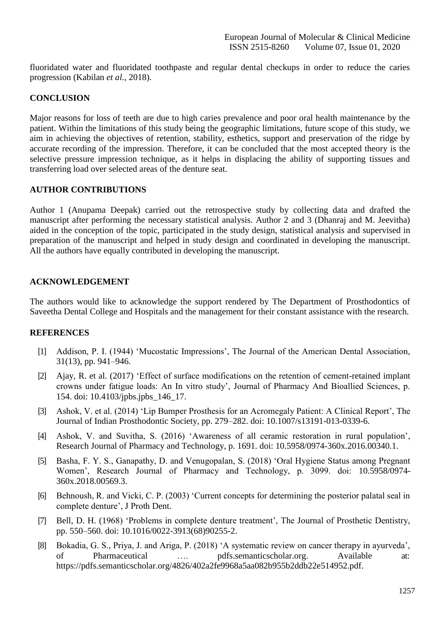fluoridated water and fluoridated toothpaste and regular dental checkups in order to reduce the caries progression [\(Kabilan](https://paperpile.com/c/cZToIt/UIRI) *et al.*, 2018).

## **CONCLUSION**

Major reasons for loss of teeth are due to high caries prevalence and poor oral health maintenance by the patient. Within the limitations of this study being the geographic limitations, future scope of this study, we aim in achieving the objectives of retention, stability, esthetics, support and preservation of the ridge by accurate recording of the impression. Therefore, it can be concluded that the most accepted theory is the selective pressure impression technique, as it helps in displacing the ability of supporting tissues and transferring load over selected areas of the denture seat.

## **AUTHOR CONTRIBUTIONS**

Author 1 (Anupama Deepak) carried out the retrospective study by collecting data and drafted the manuscript after performing the necessary statistical analysis. Author 2 and 3 (Dhanraj and M. Jeevitha) aided in the conception of the topic, participated in the study design, statistical analysis and supervised in preparation of the manuscript and helped in study design and coordinated in developing the manuscript. All the authors have equally contributed in developing the manuscript.

## **ACKNOWLEDGEMENT**

The authors would like to acknowledge the support rendered by The Department of Prosthodontics of Saveetha Dental College and Hospitals and the management for their constant assistance with the research.

## **REFERENCES**

- [1] [Addison, P. I. \(1944\) 'Mucostatic Impressions', The Journal of the American Dental Association,](http://paperpile.com/b/cZToIt/sWVf) [31\(13\), pp.](http://paperpile.com/b/cZToIt/sWVf) 941–946.
- [2] Ajay, R. et al. (2017) ['Effect of surface modifications on the retention of cement-retained implant](http://paperpile.com/b/cZToIt/TCG4) [crowns under fatigue loads: An In vitro study', Journal of Pharmacy And Bioallied Sciences, p.](http://paperpile.com/b/cZToIt/TCG4) [154. doi:](http://paperpile.com/b/cZToIt/TCG4) [10.4103/jpbs.jpbs\\_146\\_17.](http://paperpile.com/b/cZToIt/TCG4)
- [3] [Ashok, V. et al. \(2014\) 'Lip Bumper Prosthesis for an Acromegaly Patient: A Clinical Report', The](http://paperpile.com/b/cZToIt/Sgru) [Journal of Indian Prosthodontic Society, pp. 279–282. doi:](http://paperpile.com/b/cZToIt/Sgru) [10.1007/s13191-013-0339-6.](http://paperpile.com/b/cZToIt/Sgru)
- [4] [Ashok, V. and Suvitha, S. \(2016\) 'Awareness of all ceramic restoration in rural population',](http://paperpile.com/b/cZToIt/KjeK) [Research Journal of Pharmacy](http://paperpile.com/b/cZToIt/KjeK) and Technology, p. 1691. doi: [10.5958/0974-360x.2016.00340.1](http://paperpile.com/b/cZToIt/KjeK)[.](http://dx.doi.org/10.5958/0974-360x.2016.00340.1)
- [5] [Basha, F. Y. S., Ganapathy, D. and Venugopalan, S. \(2018\) 'Oral Hygiene Status among Pregnant](http://paperpile.com/b/cZToIt/zFSS) [Women', Research Journal of Pharmacy and Technology, p. 3099. doi:](http://paperpile.com/b/cZToIt/zFSS) [10.5958/0974-](http://dx.doi.org/10.5958/0974-360x.2018.00569.3) [360x.2018.00569.3.](http://dx.doi.org/10.5958/0974-360x.2018.00569.3)
- [6] [Behnoush, R. and Vicki, C. P. \(2003\) 'Current concepts for determining the posterior palatal seal in](http://paperpile.com/b/cZToIt/J7C0) [complete denture', J Proth](http://paperpile.com/b/cZToIt/J7C0) Dent.
- [7] [Bell, D. H. \(1968\) 'Problems in complete denture treatment', The Journal of Prosthetic Dentistry,](http://paperpile.com/b/cZToIt/Jyf6) [pp. 550–560. doi:](http://paperpile.com/b/cZToIt/Jyf6) [10.1016/0022-3913\(68\)90255-2](http://paperpile.com/b/cZToIt/Jyf6)[.](http://dx.doi.org/10.1016/0022-3913(68)90255-2)
- [8] [Bokadia, G. S., Priya, J. and Ariga, P. \(2018\) 'A systematic review on cancer therapy in ayurveda',](http://paperpile.com/b/cZToIt/JY37) of Pharmaceutical …. [pdfs.semanticscholar.org.](http://paperpile.com/b/cZToIt/JY37) Available at[:](http://paperpile.com/b/cZToIt/JY37) [https://pdfs.semanticscholar.org/4826/402a2fe9968a5aa082b955b2ddb22e514952.pdf.](https://pdfs.semanticscholar.org/4826/402a2fe9968a5aa082b955b2ddb22e514952.pdf)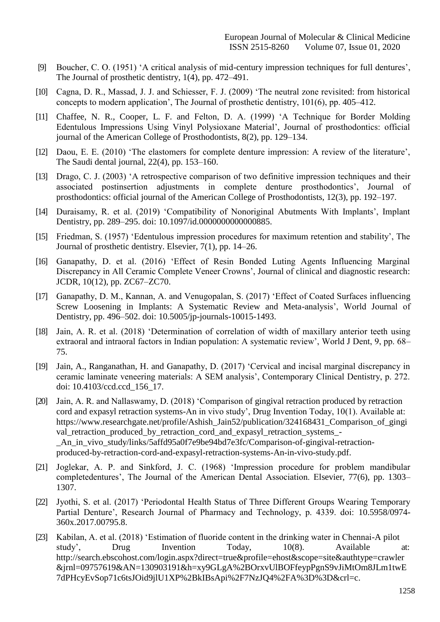- [9] [Boucher, C. O. \(1951\) 'A critical analysis of mid-century impression techniques for full dentures',](http://paperpile.com/b/cZToIt/GWd3) [The Journal of prosthetic dentistry, 1\(4\), pp.](http://paperpile.com/b/cZToIt/GWd3) 472–491.
- [10] [Cagna, D. R., Massad, J. J. and Schiesser, F. J. \(2009\) 'The neutral zone revisited: from historical](http://paperpile.com/b/cZToIt/Ih5K) [concepts to modern application', The Journal of prosthetic dentistry, 101\(6\), pp.](http://paperpile.com/b/cZToIt/Ih5K) 405–412.
- [11] [Chaffee, N. R., Cooper, L. F. and Felton, D. A. \(1999\) 'A Technique for Border Molding](http://paperpile.com/b/cZToIt/NsqS) [Edentulous Impressions Using Vinyl Polysioxane Material', Journal of prosthodontics: official](http://paperpile.com/b/cZToIt/NsqS) [journal of the American College of Prosthodontists, 8\(2\), pp.](http://paperpile.com/b/cZToIt/NsqS) 129–134.
- [12] [Daou, E. E. \(2010\) 'The elastomers for complete denture impression: A review of the literature',](http://paperpile.com/b/cZToIt/7sXq) [The Saudi dental journal, 22\(4\), pp.](http://paperpile.com/b/cZToIt/7sXq) 153–160.
- [13] [Drago, C. J. \(2003\) 'A retrospective comparison of two definitive impression techniques and their](http://paperpile.com/b/cZToIt/PA9O) [associated postinsertion adjustments in complete denture prosthodontics', Journal of](http://paperpile.com/b/cZToIt/PA9O) [prosthodontics: official journal of the American College of Prosthodontists, 12\(3\), pp.](http://paperpile.com/b/cZToIt/PA9O) 192–197.
- [14] [Duraisamy, R. et al. \(2019\) 'Compatibility of Nonoriginal Abutments With Implants', Implant](http://paperpile.com/b/cZToIt/9bDY) [Dentistry, pp. 289–295. doi: 10.1097/id.0000000000000885](http://paperpile.com/b/cZToIt/9bDY)[.](http://dx.doi.org/10.1097/id.0000000000000885)
- [15] [Friedman, S. \(1957\) 'Edentulous impression procedures for maximum retention and stability', The](http://paperpile.com/b/cZToIt/MQ1w) [Journal of prosthetic dentistry. Elsevier, 7\(1\), pp.](http://paperpile.com/b/cZToIt/MQ1w) 14–26.
- [16] [Ganapathy, D. et al. \(2016\) 'Effect of Resin Bonded Luting Agents Influencing Marginal](http://paperpile.com/b/cZToIt/L1TV) [Discrepancy in All Ceramic Complete Veneer Crowns', Journal of clinical and diagnostic research:](http://paperpile.com/b/cZToIt/L1TV) [JCDR, 10\(12\), pp.](http://paperpile.com/b/cZToIt/L1TV) ZC67–ZC70.
- [17] [Ganapathy, D. M., Kannan, A. and Venugopalan, S. \(2017\) 'Effect of Coated Surfaces influencing](http://paperpile.com/b/cZToIt/J4Ii) [Screw Loosening in Implants: A Systematic Review and Meta-analysis', World Journal of](http://paperpile.com/b/cZToIt/J4Ii) [Dentistry, pp. 496–502. doi: 10.5005/jp-journals-10015-1493.](http://paperpile.com/b/cZToIt/J4Ii)
- [18] [Jain, A. R. et al. \(2018\) 'Determination of correlation of width of maxillary anterior teeth using](http://paperpile.com/b/cZToIt/jsEU) [extraoral and intraoral factors in Indian population: A systematic review', World J Dent, 9, pp. 68–](http://paperpile.com/b/cZToIt/jsEU) [75.](http://paperpile.com/b/cZToIt/jsEU)
- [19] Jain, A., Ranganathan, H. and [Ganapathy, D. \(2017\) 'Cervical and incisal marginal discrepancy in](http://paperpile.com/b/cZToIt/5e3t) [ceramic laminate veneering materials: A SEM analysis', Contemporary Clinical Dentistry, p. 272.](http://paperpile.com/b/cZToIt/5e3t) [doi:](http://paperpile.com/b/cZToIt/5e3t) [10.4103/ccd.ccd\\_156\\_17.](http://paperpile.com/b/cZToIt/5e3t)
- [20] [Jain, A. R. and Nallaswamy, D. \(2018\) 'Comparison](http://paperpile.com/b/cZToIt/8V4a) of gingival retraction produced by retractio[n](http://paperpile.com/b/cZToIt/8V4a) [cord and expasyl retraction systems-An in vivo study', Drug Invention Today, 10\(1\). Available at:](http://paperpile.com/b/cZToIt/8V4a) [https://www.researchgate.net/profile/Ashish\\_Jain52/publication/324168431\\_Comparison\\_of\\_gingi](https://www.researchgate.net/profile/Ashish_Jain52/publication/324168431_Comparison_of_gingival_retraction_produced_by_retraction_cord_and_expasyl_retraction_systems_-_An_in_vivo_study/links/5affd95a0f7e9be94bd7e3fc/Comparison-of-gingival-retraction-produced-by-retraction-cord-and-expasyl-retraction-systems-An-in-vivo-study.pdf) [val\\_retraction\\_produced\\_by\\_retraction\\_cord\\_and\\_expasyl\\_retraction\\_systems\\_-](https://www.researchgate.net/profile/Ashish_Jain52/publication/324168431_Comparison_of_gingival_retraction_produced_by_retraction_cord_and_expasyl_retraction_systems_-_An_in_vivo_study/links/5affd95a0f7e9be94bd7e3fc/Comparison-of-gingival-retraction-produced-by-retraction-cord-and-expasyl-retraction-systems-An-in-vivo-study.pdf) [\\_An\\_in\\_vivo\\_study/links/5affd95a0f7e9be94bd7e3fc/Comparison-of-gingival-retraction](https://www.researchgate.net/profile/Ashish_Jain52/publication/324168431_Comparison_of_gingival_retraction_produced_by_retraction_cord_and_expasyl_retraction_systems_-_An_in_vivo_study/links/5affd95a0f7e9be94bd7e3fc/Comparison-of-gingival-retraction-produced-by-retraction-cord-and-expasyl-retraction-systems-An-in-vivo-study.pdf)[produced-by-retraction-cord-and-expasyl-retraction-systems-An-in-vivo-study.pdf.](https://www.researchgate.net/profile/Ashish_Jain52/publication/324168431_Comparison_of_gingival_retraction_produced_by_retraction_cord_and_expasyl_retraction_systems_-_An_in_vivo_study/links/5affd95a0f7e9be94bd7e3fc/Comparison-of-gingival-retraction-produced-by-retraction-cord-and-expasyl-retraction-systems-An-in-vivo-study.pdf)
- [21] [Joglekar, A. P. and Sinkford, J. C. \(1968\) 'Impression procedure for problem mandibular](http://paperpile.com/b/cZToIt/4m6N) [completedentures', The Journal of the American Dental Association. Elsevier, 77\(6\), pp. 1303–](http://paperpile.com/b/cZToIt/4m6N) [1307.](http://paperpile.com/b/cZToIt/4m6N)
- [22] [Jyothi, S. et al. \(2017\) 'Periodontal Health Status of Three Different Groups Wearing Temporary](http://paperpile.com/b/cZToIt/jmTW) [Partial Denture', Research Journal of Pharmacy and Technology, p. 4339. doi:](http://paperpile.com/b/cZToIt/jmTW) [10.5958/0974-](http://dx.doi.org/10.5958/0974-360x.2017.00795.8) [360x.2017.00795.8.](http://dx.doi.org/10.5958/0974-360x.2017.00795.8)
- [23] [Kabilan, A. et al. \(2018\) 'Estimation of fluoride content in the drinking water in Chennai-A pilot](http://paperpile.com/b/cZToIt/UIRI) study', Drug Invention Today, 10(8). [Available](http://paperpile.com/b/cZToIt/UIRI) at[:](http://paperpile.com/b/cZToIt/UIRI) [http://search.ebscohost.com/login.aspx?direct=true&profile=ehost&scope=site&authtype=crawler](http://search.ebscohost.com/login.aspx?direct=true&profile=ehost&scope=site&authtype=crawler&jrnl=09757619&AN=130903191&h=xy9GLgA%2BOrxvUlBOFfeypPgnS9vJiMtOm8JLm1twE7dPHcyEvSop71c6tsJOid9jlU1XP%2BkIBsApi%2F7NzJQ4%2FA%3D%3D&crl=c) [&jrnl=09757619&AN=130903191&h=xy9GLgA%2BOrxvUlBOFfeypPgnS9vJiMtOm8JLm1twE](http://search.ebscohost.com/login.aspx?direct=true&profile=ehost&scope=site&authtype=crawler&jrnl=09757619&AN=130903191&h=xy9GLgA%2BOrxvUlBOFfeypPgnS9vJiMtOm8JLm1twE7dPHcyEvSop71c6tsJOid9jlU1XP%2BkIBsApi%2F7NzJQ4%2FA%3D%3D&crl=c) [7dPHcyEvSop71c6tsJOid9jlU1XP%2BkIBsApi%2F7NzJQ4%2FA%3D%3D&crl=c.](http://search.ebscohost.com/login.aspx?direct=true&profile=ehost&scope=site&authtype=crawler&jrnl=09757619&AN=130903191&h=xy9GLgA%2BOrxvUlBOFfeypPgnS9vJiMtOm8JLm1twE7dPHcyEvSop71c6tsJOid9jlU1XP%2BkIBsApi%2F7NzJQ4%2FA%3D%3D&crl=c)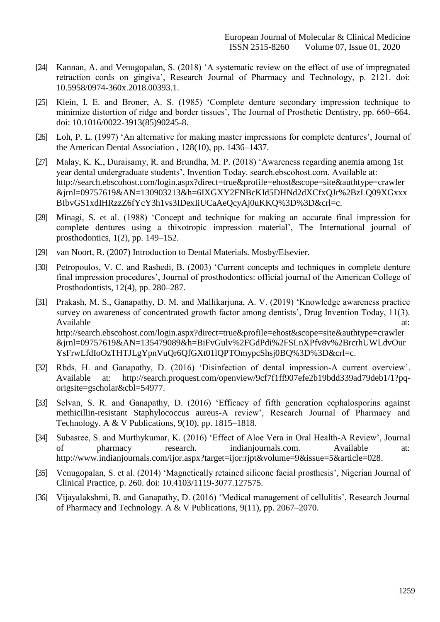- [24] [Kannan, A. and Venugopalan, S. \(2018\) 'A systematic review on the effect of use of impregnated](http://paperpile.com/b/cZToIt/AFGh) [retraction cords on gingiva', Research Journal of Pharmacy and Technology, p. 2121. doi:](http://paperpile.com/b/cZToIt/AFGh) [10.5958/0974-360x.2018.00393.1.](http://dx.doi.org/10.5958/0974-360x.2018.00393.1)
- [25] [Klein, I. E. and Broner, A. S. \(1985\) 'Complete denture secondary impression technique to](http://paperpile.com/b/cZToIt/RXt7) [minimize distortion of ridge and border tissues', The Journal of Prosthetic Dentistry, pp. 660–664.](http://paperpile.com/b/cZToIt/RXt7) [doi:](http://paperpile.com/b/cZToIt/RXt7) [10.1016/0022-3913\(85\)90245-8.](http://paperpile.com/b/cZToIt/RXt7)
- [26] [Loh, P. L. \(1997\) 'An alternative for making master impressions for complete dentures', Journal of](http://paperpile.com/b/cZToIt/3faZ) [the American Dental Association , 128\(10\), pp.](http://paperpile.com/b/cZToIt/3faZ) 1436–1437.
- [27] [Malay, K. K., Duraisamy, R. and Brundha, M. P. \(2018\) 'Awareness regarding anemia among 1st](http://paperpile.com/b/cZToIt/iC4o) [year dental undergraduate students', Invention Today. search.ebscohost.com. Available at:](http://paperpile.com/b/cZToIt/iC4o) [http://search.ebscohost.com/login.aspx?direct=true&profile=ehost&scope=site&authtype=crawler](http://search.ebscohost.com/login.aspx?direct=true&profile=ehost&scope=site&authtype=crawler&jrnl=09757619&AN=130903213&h=6IXGXY2FNBcKId5DHNd2dXCfxQJr%2BzLQ09XGxxxBIbvGS1xdIHRzzZ6fYcY3h1vs3IDexIiUCaAeQcyAj0uKKQ%3D%3D&crl=c) [&jrnl=09757619&AN=130903213&h=6IXGXY2FNBcKId5DHNd2dXCfxQJr%2BzLQ09XGxxx](http://search.ebscohost.com/login.aspx?direct=true&profile=ehost&scope=site&authtype=crawler&jrnl=09757619&AN=130903213&h=6IXGXY2FNBcKId5DHNd2dXCfxQJr%2BzLQ09XGxxxBIbvGS1xdIHRzzZ6fYcY3h1vs3IDexIiUCaAeQcyAj0uKKQ%3D%3D&crl=c) [BIbvGS1xdIHRzzZ6fYcY3h1vs3IDexIiUCaAeQcyAj0uKKQ%3D%3D&crl=c.](http://search.ebscohost.com/login.aspx?direct=true&profile=ehost&scope=site&authtype=crawler&jrnl=09757619&AN=130903213&h=6IXGXY2FNBcKId5DHNd2dXCfxQJr%2BzLQ09XGxxxBIbvGS1xdIHRzzZ6fYcY3h1vs3IDexIiUCaAeQcyAj0uKKQ%3D%3D&crl=c)
- [28] [Minagi, S. et al. \(1988\) 'Concept and technique for making an accurate final impression for](http://paperpile.com/b/cZToIt/WTj9) [complete dentures using a thixotropic impression material', The International journal of](http://paperpile.com/b/cZToIt/WTj9) [prosthodontics, 1\(2\), pp.](http://paperpile.com/b/cZToIt/WTj9) 149–152.
- [29] [van Noort, R. \(2007\) Introduction to Dental Materials.](http://paperpile.com/b/cZToIt/Dxhs) Mosby/Elsevier.
- [30] [Petropoulos, V. C. and Rashedi, B. \(2003\) 'Current concepts and techniques in complete denture](http://paperpile.com/b/cZToIt/ZBXz) [final impression procedures', Journal of prosthodontics: official journal of the American College of](http://paperpile.com/b/cZToIt/ZBXz) [Prosthodontists, 12\(4\), pp.](http://paperpile.com/b/cZToIt/ZBXz) 280–287.
- [31] [Prakash, M. S., Ganapathy, D. M. and Mallikarjuna, A. V. \(2019\) 'Knowledge awareness practice](http://paperpile.com/b/cZToIt/YYYr) [survey on awareness of concentrated growth factor among dentists', Drug Invention Today, 11\(3\).](http://paperpile.com/b/cZToIt/YYYr) [Available](http://paperpile.com/b/cZToIt/YYYr) at:  $\alpha$ [http://search.ebscohost.com/login.aspx?direct=true&profile=ehost&scope=site&authtype=crawler](http://search.ebscohost.com/login.aspx?direct=true&profile=ehost&scope=site&authtype=crawler&jrnl=09757619&AN=135479089&h=BiFvGulv%2FGdPdi%2FSLnXPfv8v%2BrcrhUWLdvOurYsFrwLfdIoOzTHTJLgYpnVuQr6QfGXt01lQPTOmypcShsj0BQ%3D%3D&crl=c) [&jrnl=09757619&AN=135479089&h=BiFvGulv%2FGdPdi%2FSLnXPfv8v%2BrcrhUWLdvOur](http://search.ebscohost.com/login.aspx?direct=true&profile=ehost&scope=site&authtype=crawler&jrnl=09757619&AN=135479089&h=BiFvGulv%2FGdPdi%2FSLnXPfv8v%2BrcrhUWLdvOurYsFrwLfdIoOzTHTJLgYpnVuQr6QfGXt01lQPTOmypcShsj0BQ%3D%3D&crl=c) [YsFrwLfdIoOzTHTJLgYpnVuQr6QfGXt01lQPTOmypcShsj0BQ%3D%3D&crl=c.](http://search.ebscohost.com/login.aspx?direct=true&profile=ehost&scope=site&authtype=crawler&jrnl=09757619&AN=135479089&h=BiFvGulv%2FGdPdi%2FSLnXPfv8v%2BrcrhUWLdvOurYsFrwLfdIoOzTHTJLgYpnVuQr6QfGXt01lQPTOmypcShsj0BQ%3D%3D&crl=c)
- [32] [Rbds, H. and Ganapathy, D. \(2016\) 'Disinfection of dental impression-A current overview'.](http://paperpile.com/b/cZToIt/SX1s) [Available at:](http://paperpile.com/b/cZToIt/SX1s) [http://search.proquest.com/openview/9cf7f1ff907efe2b19bdd339ad79deb1/1?pq](http://search.proquest.com/openview/9cf7f1ff907efe2b19bdd339ad79deb1/1?pq-origsite=gscholar&cbl=54977)[origsite=gscholar&cbl=54977.](http://search.proquest.com/openview/9cf7f1ff907efe2b19bdd339ad79deb1/1?pq-origsite=gscholar&cbl=54977)
- [33] [Selvan, S. R. and Ganapathy, D. \(2016\) 'Efficacy of fifth generation cephalosporins against](http://paperpile.com/b/cZToIt/nDqQ) [methicillin-resistant Staphylococcus aureus-A review', Research Journal of Pharmacy and](http://paperpile.com/b/cZToIt/nDqQ) [Technology. A & V Publications, 9\(10\), pp.](http://paperpile.com/b/cZToIt/nDqQ) 1815–1818.
- [34] [Subasree, S. and Murthykumar, K. \(2016\) 'Effect of Aloe Vera in Oral Health-A Review', Journal](http://paperpile.com/b/cZToIt/vVhT) of pharmacy research. [indianjournals.com.](http://paperpile.com/b/cZToIt/vVhT) Available at[:](http://paperpile.com/b/cZToIt/vVhT) [http://www.indianjournals.com/ijor.aspx?target=ijor:rjpt&volume=9&issue=5&article=028.](http://www.indianjournals.com/ijor.aspx?target=ijor%3Arjpt&volume=9&issue=5&article=028)
- [35] [Venugopalan, S. et al. \(2014\) 'Magnetically retained silicone facial prosthesis', Nigerian Journal of](http://paperpile.com/b/cZToIt/tVYi) [Clinical Practice, p. 260. doi:](http://paperpile.com/b/cZToIt/tVYi) [10.4103/1119-3077.127575](http://paperpile.com/b/cZToIt/tVYi)[.](http://dx.doi.org/10.4103/1119-3077.127575)
- [36] [Vijayalakshmi, B. and Ganapathy, D. \(2016\) 'Medical management of cellulitis', Research Journal](http://paperpile.com/b/cZToIt/bFjb) [of Pharmacy and Technology. A & V Publications, 9\(11\), pp.](http://paperpile.com/b/cZToIt/bFjb) 2067–2070.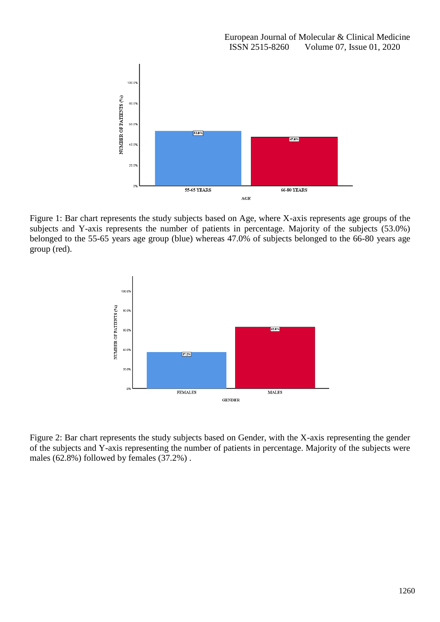

Figure 1: Bar chart represents the study subjects based on Age, where X-axis represents age groups of the subjects and Y-axis represents the number of patients in percentage. Majority of the subjects (53.0%) belonged to the 55-65 years age group (blue) whereas 47.0% of subjects belonged to the 66-80 years age group (red).



Figure 2: Bar chart represents the study subjects based on Gender, with the X-axis representing the gender of the subjects and Y-axis representing the number of patients in percentage. Majority of the subjects were males (62.8%) followed by females (37.2%) .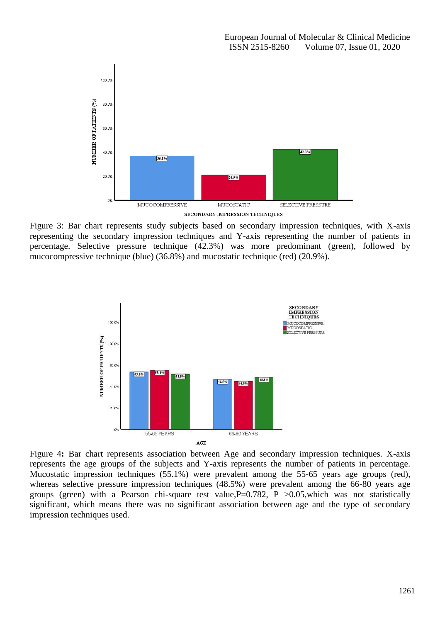

Figure 3: Bar chart represents study subjects based on secondary impression techniques, with X-axis representing the secondary impression techniques and Y-axis representing the number of patients in percentage. Selective pressure technique (42.3%) was more predominant (green), followed by mucocompressive technique (blue) (36.8%) and mucostatic technique (red) (20.9%).



Figure 4**:** Bar chart represents association between Age and secondary impression techniques. X-axis represents the age groups of the subjects and Y-axis represents the number of patients in percentage. Mucostatic impression techniques (55.1%) were prevalent among the 55-65 years age groups (red), whereas selective pressure impression techniques (48.5%) were prevalent among the 66-80 years age groups (green) with a Pearson chi-square test value,  $P=0.782$ , P  $>0.05$ , which was not statistically significant, which means there was no significant association between age and the type of secondary impression techniques used.